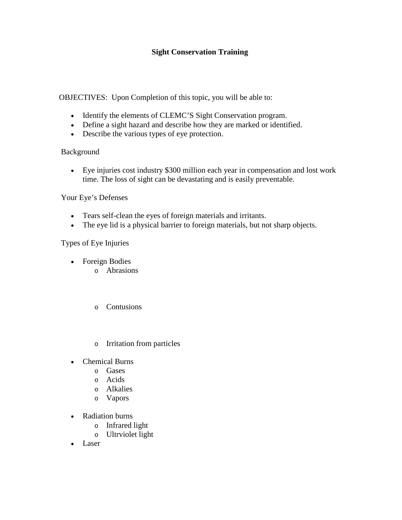## **Sight Conservation Training**

OBJECTIVES: Upon Completion of this topic, you will be able to:

- Identify the elements of CLEMC'S Sight Conservation program.
- Define a sight hazard and describe how they are marked or identified.
- Describe the various types of eye protection.

## Background

• Eye injuries cost industry \$300 million each year in compensation and lost work time. The loss of sight can be devastating and is easily preventable.

## Your Eye's Defenses

- Tears self-clean the eyes of foreign materials and irritants.
- The eye lid is a physical barrier to foreign materials, but not sharp objects.

# Types of Eye Injuries

- Foreign Bodies
	- o Abrasions
	- o Contusions
	- o Irritation from particles
- Chemical Burns
	- o Gases
	- o Acids
	- o Alkalies
	- o Vapors
- Radiation burns
	- o Infrared light
	- o Ultrviolet light
- **Laser**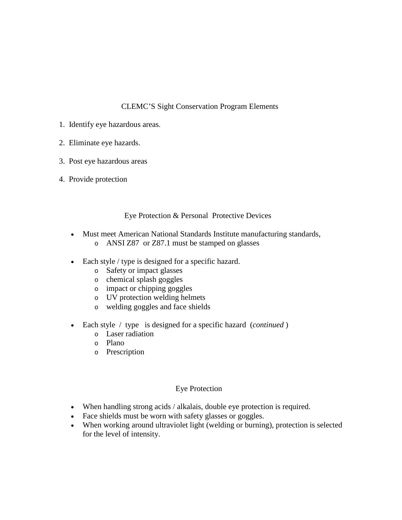## CLEMC'S Sight Conservation Program Elements

- 1. Identify eye hazardous areas.
- 2. Eliminate eye hazards.
- 3. Post eye hazardous areas
- 4. Provide protection

### Eye Protection & Personal Protective Devices

- Must meet American National Standards Institute manufacturing standards,
	- o ANSI Z87 or Z87.1 must be stamped on glasses
- Each style / type is designed for a specific hazard.
	- o Safety or impact glasses
	- o chemical splash goggles
	- o impact or chipping goggles
	- o UV protection welding helmets
	- o welding goggles and face shields
- Each style / type is designed for a specific hazard (*continued* )
	- o Laser radiation
	- o Plano
	- o Prescription

#### Eye Protection

- When handling strong acids / alkalais, double eye protection is required.
- Face shields must be worn with safety glasses or goggles.
- When working around ultraviolet light (welding or burning), protection is selected for the level of intensity.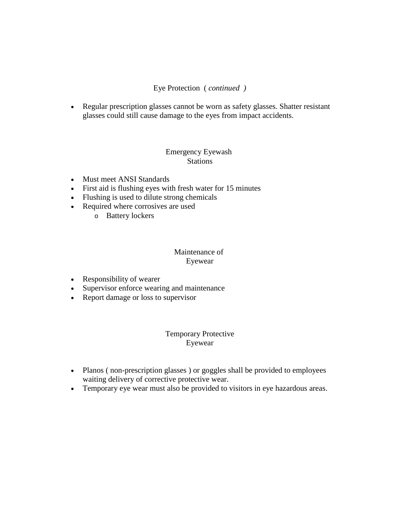### Eye Protection ( *continued )*

• Regular prescription glasses cannot be worn as safety glasses. Shatter resistant glasses could still cause damage to the eyes from impact accidents.

#### Emergency Eyewash **Stations**

- Must meet ANSI Standards
- First aid is flushing eyes with fresh water for 15 minutes
- Flushing is used to dilute strong chemicals
- Required where corrosives are used
	- o Battery lockers

### Maintenance of Eyewear

- Responsibility of wearer
- Supervisor enforce wearing and maintenance
- Report damage or loss to supervisor

### Temporary Protective Eyewear

- Planos (non-prescription glasses) or goggles shall be provided to employees waiting delivery of corrective protective wear.
- Temporary eye wear must also be provided to visitors in eye hazardous areas.